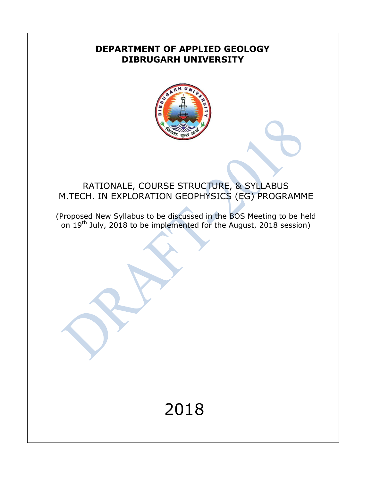### **DEPARTMENT OF APPLIED GEOLOGY DIBRUGARH UNIVERSITY**



# RATIONALE, COURSE STRUCTURE, & SYLLABUS M.TECH. IN EXPLORATION GEOPHYSICS (EG) PROGRAMME

(Proposed New Syllabus to be discussed in the BOS Meeting to be held on  $19<sup>th</sup>$  July, 2018 to be implemented for the August, 2018 session)

# 2018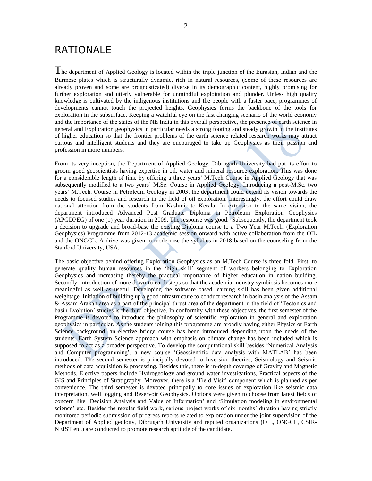### RATIONALE

The department of Applied Geology is located within the triple junction of the Eurasian, Indian and the Burmese plates which is structurally dynamic, rich in natural resources, (Some of these resources are already proven and some are prognosticated) diverse in its demographic content, highly promising for further exploration and utterly vulnerable for unmindful exploitation and plunder. Unless high quality knowledge is cultivated by the indigenous institutions and the people with a faster pace, programmes of developments cannot touch the projected heights. Geophysics forms the backbone of the tools for exploration in the subsurface. Keeping a watchful eye on the fast changing scenario of the world economy and the importance of the states of the NE India in this overall perspective, the presence of earth science in general and Exploration geophysics in particular needs a strong footing and steady growth in the institutes of higher education so that the frontier problems of the earth science related research works may attract curious and intelligent students and they are encouraged to take up Geophysics as their passion and profession in more numbers.

From its very inception, the Department of Applied Geology, Dibrugarh University had put its effort to groom good geoscientists having expertise in oil, water and mineral resource exploration. This was done for a considerable length of time by offering a three years' M.Tech Course in Applied Geology that was subsequently modified to a two years' M.Sc. Course in Applied Geology. Introducing a post-M.Sc. two years' M.Tech. Course in Petroleum Geology in 2003, the department could extend its vision towards the needs to focused studies and research in the field of oil exploration. Interestingly, the effort could draw national attention from the students from Kashmir to Kerala. In extension to the same vision, the department introduced Advanced Post Graduate Diploma in Petroleum Exploration Geophysics (APGDPEG) of one (1) year duration in 2009. The response was good. Subsequently, the department took a decision to upgrade and broad-base the existing Diploma course to a Two Year M.Tech. (Exploration Geophysics) Programme from 2012-13 academic session onward with active collaboration from the OIL and the ONGCL. A drive was given to modernize the syllabus in 2018 based on the counseling from the Stanford University, USA.

The basic objective behind offering Exploration Geophysics as an M.Tech Course is three fold. First, to generate quality human resources in the 'high skill' segment of workers belonging to Exploration Geophysics and increasing thereby the practical importance of higher education in nation building. Secondly, introduction of more down-to-earth steps so that the academia-industry symbiosis becomes more meaningful as well as useful. Developing the software based learning skill has been given additional weightage. Initiation of building up a good infrastructure to conduct research in basin analysis of the Assam & Assam Arakan area as a part of the principal thrust area of the department in the field of 'Tectonics and basin Evolution' studies is the third objective. In conformity with these objectives, the first semester of the Programme is devoted to introduce the philosophy of scientific exploration in general and exploration geophysics in particular. As the students joining this programme are broadly having either Physics or Earth Science background; an elective bridge course has been introduced depending upon the needs of the students. Earth System Science approach with emphasis on climate change has been included which is supposed to act as a broader perspective. To develop the computational skill besides 'Numerical Analysis and Computer programming', a new course 'Geoscientific data analysis with MATLAB' has been introduced. The second semester is principally devoted to Inversion theories, Seismology and Seismic methods of data acquisition & processing. Besides this, there is in-depth coverage of Gravity and Magnetic Methods. Elective papers include Hydrogeology and ground water investigations, Practical aspects of the GIS and Principles of Stratigraphy. Moreover, there is a 'Field Visit' component which is planned as per convenience. The third semester is devoted principally to core issues of exploration like seismic data interpretation, well logging and Reservoir Geophysics. Options were given to choose from latest fields of concern like 'Decision Analysis and Value of Information' and 'Simulation modeling in environmental science' etc. Besides the regular field work, serious project works of six months' duration having strictly monitored periodic submission of progress reports related to exploration under the joint supervision of the Department of Applied geology, Dibrugarh University and reputed organizations (OIL, ONGCL, CSIR-NEIST etc.) are conducted to promote research aptitude of the candidate.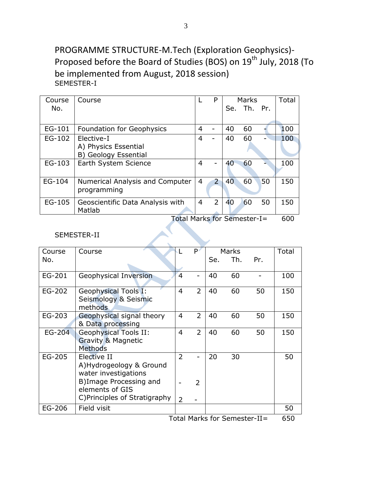## PROGRAMME STRUCTURE-M.Tech (Exploration Geophysics)- Proposed before the Board of Studies (BOS) on 19<sup>th</sup> July, 2018 (To be implemented from August, 2018 session) SEMESTER-I

| Course | Course                            |                | P                        |    | <b>Marks</b> |    | Total |
|--------|-----------------------------------|----------------|--------------------------|----|--------------|----|-------|
| No.    |                                   |                |                          |    | Se. Th. Pr.  |    |       |
|        |                                   |                |                          |    |              |    |       |
| EG-101 | <b>Foundation for Geophysics</b>  | 4              |                          | 40 | 60           |    | 100   |
| EG-102 | Elective-I                        | 4              |                          | 40 | 60           |    | 100   |
|        | A) Physics Essential              |                |                          |    |              |    |       |
|        | B) Geology Essential              |                |                          |    |              |    |       |
| EG-103 | Earth System Science              | 4              | $\overline{\phantom{0}}$ | 40 | 60           |    | 100   |
|        |                                   |                |                          |    |              |    |       |
| EG-104 | Numerical Analysis and Computer   | 4              | $\overline{2}$           | 40 | 60           | 50 | 150   |
|        | programming                       |                |                          |    |              |    |       |
| EG-105 | Geoscientific Data Analysis with  | $\overline{4}$ | 2                        | 40 | 60           | 50 | 150   |
|        | Matlab                            |                |                          |    |              |    |       |
|        | $T$ otol Marko for Campator $I -$ |                |                          |    |              |    | cnn   |

Total Marks for Semester-I= 600

#### SEMESTER-II

| Course | Course                          |                | P              |     | <b>Marks</b>                 |     | Total |
|--------|---------------------------------|----------------|----------------|-----|------------------------------|-----|-------|
| No.    |                                 |                |                | Se. | Th.                          | Pr. |       |
|        |                                 |                |                |     |                              |     |       |
| EG-201 | Geophysical Inversion           | 4              |                | 40  | 60                           |     | 100   |
| EG-202 | <b>Geophysical Tools I:</b>     | $\overline{4}$ | $\overline{2}$ | 40  | 60                           | 50  | 150   |
|        | Seismology & Seismic<br>methods |                |                |     |                              |     |       |
| EG-203 | Geophysical signal theory       | 4              | $\overline{2}$ | 40  | 60                           | 50  | 150   |
|        | & Data processing               |                |                |     |                              |     |       |
| EG-204 | <b>Geophysical Tools II:</b>    | $\overline{4}$ | $\overline{2}$ | 40  | 60                           | 50  | 150   |
|        | Gravity & Magnetic              |                |                |     |                              |     |       |
|        | <b>Methods</b>                  |                |                |     |                              |     |       |
| EG-205 | Elective II                     | $\overline{2}$ |                | 20  | 30                           |     | 50    |
|        | A)Hydrogeology & Ground         |                |                |     |                              |     |       |
|        | water investigations            |                |                |     |                              |     |       |
|        | B) Image Processing and         |                | $\mathcal{P}$  |     |                              |     |       |
|        | elements of GIS                 |                |                |     |                              |     |       |
|        | C) Principles of Stratigraphy   | 2              |                |     |                              |     |       |
| EG-206 | Field visit                     |                |                |     |                              |     | 50    |
|        |                                 |                |                |     | Total Marke for Semector_II— |     | 650   |

Total Marks for Semester-II= 650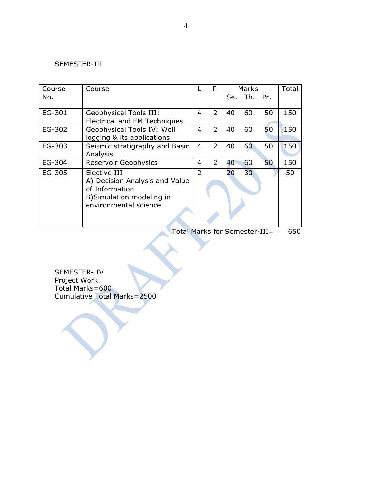#### SEMESTER-III

| Course<br>No. | Course                                                                                                                 |                | P              |    | Marks<br>Se. Th. Pr. |    | Total |
|---------------|------------------------------------------------------------------------------------------------------------------------|----------------|----------------|----|----------------------|----|-------|
|               |                                                                                                                        |                |                |    |                      |    |       |
| EG-301        | Geophysical Tools III:<br>Electrical and EM Techniques                                                                 | 4              | 2              | 40 | 60                   | 50 | 150   |
| EG-302        | Geophysical Tools IV: Well<br>logging & its applications                                                               | 4              | $\overline{2}$ | 40 | 60                   | 50 | 150   |
| EG-303        | Seismic stratigraphy and Basin<br>Analysis                                                                             | $\overline{4}$ | $\overline{2}$ | 40 | 60                   | 50 | 150   |
| EG-304        | <b>Reservoir Geophysics</b>                                                                                            | 4              | $\overline{2}$ | 40 | 60                   | 50 | 150   |
| EG-305        | Elective III<br>A) Decision Analysis and Value<br>of Information<br>B) Simulation modeling in<br>environmental science | $\overline{2}$ |                | 20 | 30                   |    | 50    |

Total Marks for Semester-III= 650

SEMESTER- IV Project Work Total Marks=600 Cumulative Total Marks=2500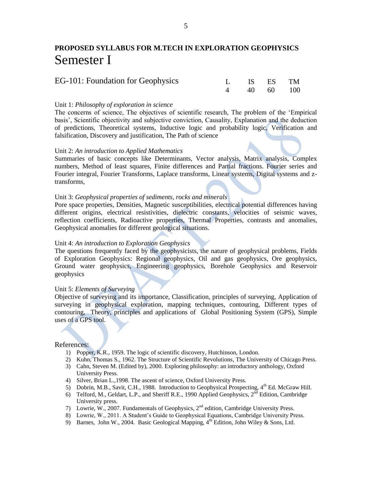### **PROPOSED SYLLABUS FOR M.TECH IN EXPLORATION GEOPHYSICS** Semester I

| EG-101: Foundation for Geophysics | L IS ES TM  |  |
|-----------------------------------|-------------|--|
|                                   | 4 40 60 100 |  |

#### Unit 1: *Philosophy of exploration in science*

The concerns of science, The objectives of scientific research, The problem of the 'Empirical basis', Scientific objectivity and subjective conviction, Causality, Explanation and the deduction of predictions, Theoretical systems, Inductive logic and probability logic, Verification and falsification, Discovery and justification, The Path of science

#### Unit 2: *An introduction to Applied Mathematics*

Summaries of basic concepts like Determinants, Vector analysis, Matrix analysis, Complex numbers, Method of least squares, Finite differences and Partial fractions. Fourier series and Fourier integral, Fourier Transforms, Laplace transforms, Linear systems, Digital systems and ztransforms,

#### Unit 3: *Geophysical properties of sediments, rocks and minerals*

Pore space properties, Densities, Magnetic susceptibilities, electrical potential differences having different origins, electrical resistivities, dielectric constants, velocities of seismic waves, reflection coefficients, Radioactive properties, Thermal Properties, contrasts and anomalies, Geophysical anomalies for different geological situations.

#### Unit 4: *An introduction to Exploration Geophysics*

The questions frequently faced by the geophysicists, the nature of geophysical problems, Fields of Exploration Geophysics: Regional geophysics, Oil and gas geophysics, Ore geophysics, Ground water geophysics, Engineering geophysics, Borehole Geophysics and Reservoir geophysics

#### Unit 5: *Elements of Surveying*

Objective of surveying and its importance, Classification, principles of surveying, Application of surveying in geophysical exploration, mapping techniques, contouring, Different types of contouring, Theory, principles and applications of Global Positioning System (GPS), Simple uses of a GPS tool.

- 1) Popper, K.R., 1959. The logic of scientific discovery, Hutchinson, London.
- 2) Kuhn, Thomas S., 1962. The Structure of Scientific Revolutions, The University of Chicago Press.
- 3) Cahn, Steven M. (Edited by), 2000. Exploring philosophy: an introductory anthology, Oxford University Press.
- 4) Silver, Brian L.,1998. The ascent of science, Oxford University Press.
- 5) Dobrin, M.B., Savit, C.H., 1988. Introduction to Geophysical Prospecting,  $4<sup>th</sup>$  Ed. McGraw Hill.
- 6) Telford, M., Geldart, L.P., and Sheriff R.E., 1990 Applied Geophysics,  $2^{\overline{nd}}$  Edition, Cambridge University press.
- 7) Lowrie, W., 2007. Fundamentals of Geophysics, 2nd edition, Cambridge University Press.
- 8) Lowrie, W., 2011. A Student's Guide to Geophysical Equations, Cambridge University Press.
- 9) Barnes, John W., 2004. Basic Geological Mapping,  $4<sup>th</sup>$  Edition, John Wiley & Sons, Ltd.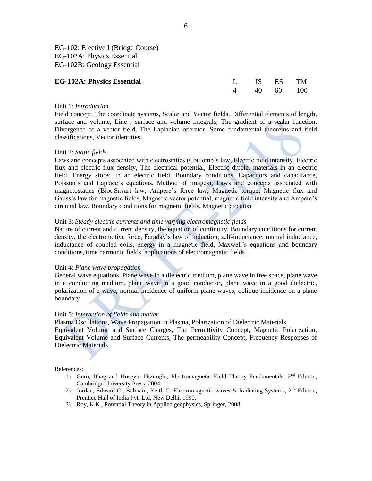EG-102: Elective I (Bridge Course) EG-102A: Physics Essential EG-102B: Geology Essential

| <b>EG-102A: Physics Essential</b> | L IS ES TM  |  |
|-----------------------------------|-------------|--|
|                                   | 4 40 60 100 |  |

#### Unit 1: *Introduction*

Field concept, The coordinate systems, Scalar and Vector fields, Differential elements of length, surface and volume, Line , surface and volume integrals, The gradient of a scalar function, Divergence of a vector field, The Laplacian operator, Some fundamental theorems and field classifications, Vector identities

#### Unit 2: *Static fields*

Laws and concepts associated with electrostatics (Coulomb's law, Electric field intensity, Electric flux and electric flux density, The electrical potential, Electric dipole, materials in an electric field, Energy stored in an electric field, Boundary conditions, Capacitors and capacitance, Poisson's and Laplace's equations, Method of images), Laws and concepts associated with magnetostatics (Biot-Savart law, Ampere's force law, Magnetic torque, Magnetic flux and Gauss's law for magnetic fields, Magnetic vector potential, magnetic field intensity and Ampere's circuital law, Boundary conditions for magnetic fields, Magnetic circuits)

#### Unit 3: *Steady electric currents and time varying electromagnetic fields*

Nature of current and current density, the equation of continuity, Boundary conditions for current density, the electromotive force, Faraday's law of induction, self-inductance, mutual inductance, inductance of coupled coils, energy in a magnetic field, Maxwell's equations and boundary conditions, time harmonic fields, applications of electromagnetic fields

#### Unit 4: *Plane wave propagation*

General wave equations, Plane wave in a dielectric medium, plane wave in free space, plane wave in a conducting medium, plane wave in a good conductor, plane wave in a good dielectric, polarization of a wave, normal incidence of uniform plane waves, oblique incidence on a plane boundary

#### Unit 5: *Interaction of fields and matter*

Plasma Oscillations, Wave Propagation in Plasma, Polarization of Dielectric Materials, Equivalent Volume and Surface Charges, The Permittivity Concept, Magnetic Polarization, Equivalent Volume and Surface Currents, The permeability Concept, Frequency Responses of Dielectric Materials

- 1) Guru, Bhag and Hüseyin Hiziroğlu, Electromagnetic Field Theory Fundamentals,  $2<sup>nd</sup>$  Edition, Cambridge University Press, 2004.
- 2) Jordan, Edward C., Balmain, Keith G. Electromagnetic waves & Radiating Systems,  $2<sup>nd</sup>$  Edition, Prentice Hall of India Pvt. Ltd, New Delhi, 1990.
- 3) Roy, K.K., Potential Theory in Applied geophysics, Springer, 2008.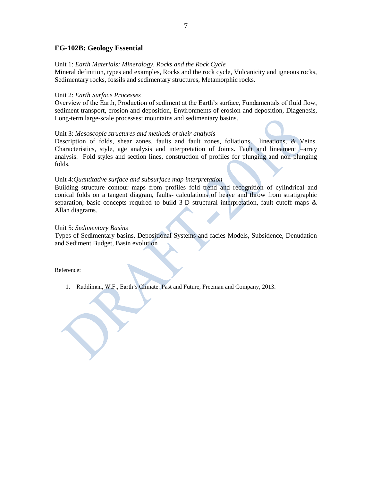#### **EG-102B: Geology Essential**

#### Unit 1: *Earth Materials: Mineralogy, Rocks and the Rock Cycle*

Mineral definition, types and examples, Rocks and the rock cycle, Vulcanicity and igneous rocks, Sedimentary rocks, fossils and sedimentary structures, Metamorphic rocks.

#### Unit 2: *Earth Surface Processes*

Overview of the Earth, Production of sediment at the Earth's surface, Fundamentals of fluid flow, sediment transport, erosion and deposition, Environments of erosion and deposition, Diagenesis, Long-term large-scale processes: mountains and sedimentary basins.

#### Unit 3: *Mesoscopic structures and methods of their analysis*

Description of folds, shear zones, faults and fault zones, foliations, lineations, & Veins. Characteristics, style, age analysis and interpretation of Joints. Fault and lineament –array analysis. Fold styles and section lines, construction of profiles for plunging and non plunging folds.

#### Unit 4:*Quantitative surface and subsurface map interpretation*

Building structure contour maps from profiles fold trend and recognition of cylindrical and conical folds on a tangent diagram, faults- calculations of heave and throw from stratigraphic separation, basic concepts required to build 3-D structural interpretation, fault cutoff maps & Allan diagrams.

#### Unit 5: *Sedimentary Basins*

Types of Sedimentary basins, Depositional Systems and facies Models, Subsidence, Denudation and Sediment Budget, Basin evolution

Reference:

1. Ruddiman, W.F., Earth's Climate: Past and Future, Freeman and Company, 2013.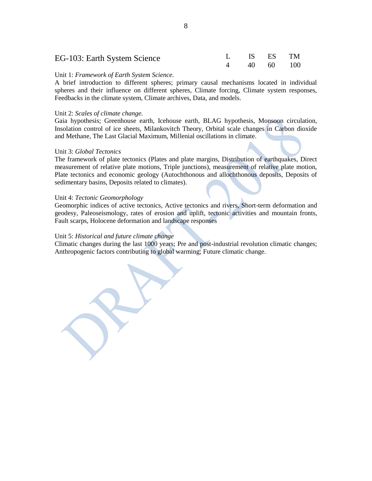| EG-103: Earth System Science | L IS ES TM  |  |
|------------------------------|-------------|--|
|                              | 4 40 60 100 |  |

#### Unit 1: *Framework of Earth System Science.*

A brief introduction to different spheres; primary causal mechanisms located in individual spheres and their influence on different spheres, Climate forcing, Climate system responses, Feedbacks in the climate system, Climate archives, Data, and models.

#### Unit 2: *Scales of climate change.*

Gaia hypothesis; Greenhouse earth, Icehouse earth, BLAG hypothesis, Monsoon circulation, Insolation control of ice sheets, Milankovitch Theory, Orbital scale changes in Carbon dioxide and Methane, The Last Glacial Maximum, Millenial oscillations in climate.

#### Unit 3: *Global Tectonics*

The framework of plate tectonics (Plates and plate margins, Distribution of earthquakes, Direct measurement of relative plate motions, Triple junctions), measurement of relative plate motion, Plate tectonics and economic geology (Autochthonous and allochthonous deposits, Deposits of sedimentary basins, Deposits related to climates).

#### Unit 4: *Tectonic Geomorphology*

Geomorphic indices of active tectonics, Active tectonics and rivers, Short-term deformation and geodesy, Paleoseismology, rates of erosion and uplift, tectonic activities and mountain fronts, Fault scarps, Holocene deformation and landscape responses

#### Unit 5: *Historical and future climate change*

Climatic changes during the last 1000 years; Pre and post-industrial revolution climatic changes; Anthropogenic factors contributing to global warming; Future climatic change.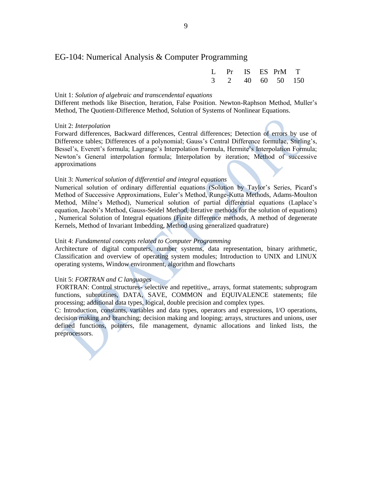#### EG-104: Numerical Analysis & Computer Programming

|  |  | L Pr IS ES PrM T |  |
|--|--|------------------|--|
|  |  | 3 2 40 60 50 150 |  |

#### Unit 1: *Solution of algebraic and transcendental equations*

Different methods like Bisection, Iteration, False Position. Newton-Raphson Method, Muller's Method, The Quotient-Difference Method, Solution of Systems of Nonlinear Equations.

#### Unit 2: *Interpolation*

Forward differences, Backward differences, Central differences; Detection of errors by use of Difference tables; Differences of a polynomial; Gauss's Central Difference formulae, Stirling's, Bessel's, Everett's formula; Lagrange's Interpolation Formula, Hermite's Interpolation Formula; Newton's General interpolation formula; Interpolation by iteration; Method of successive approximations

#### Unit 3: *Numerical solution of differential and integral equations*

Numerical solution of ordinary differential equations (Solution by Taylor's Series, Picard's Method of Successive Approximations, Euler's Method, Runge-Kutta Methods, Adams-Moulton Method, Milne's Method), Numerical solution of partial differential equations (Laplace's equation, Jacobi's Method, Gauss-Seidel Method, Iterative methods for the solution of equations) , Numerical Solution of Integral equations (Finite difference methods, A method of degenerate Kernels, Method of Invariant Imbedding, Method using generalized quadrature)

#### Unit 4: *Fundamental concepts related to Computer Programming*

Architecture of digital computers, number systems, data representation, binary arithmetic, Classification and overview of operating system modules; Introduction to UNIX and LINUX operating systems, Window environment, algorithm and flowcharts

#### Unit 5: *FORTRAN and C languages*

FORTRAN: Control structures- selective and repetitive,, arrays, format statements; subprogram functions, subroutines, DATA, SAVE, COMMON and EQUIVALENCE statements; file processing; additional data types, logical, double precision and complex types.

C: Introduction, constants, variables and data types, operators and expressions, I/O operations, decision making and branching; decision making and looping; arrays, structures and unions, user defined functions, pointers, file management, dynamic allocations and linked lists, the preprocessors.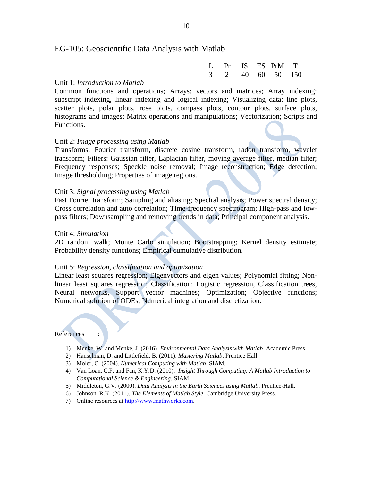#### EG-105: Geoscientific Data Analysis with Matlab

|  |  | L Pr IS ES PrM T |  |
|--|--|------------------|--|
|  |  | 3 2 40 60 50 150 |  |

#### Unit 1: *Introduction to Matlab*

Common functions and operations; Arrays: vectors and matrices; Array indexing: subscript indexing, linear indexing and logical indexing; Visualizing data: line plots, scatter plots, polar plots, rose plots, compass plots, contour plots, surface plots, histograms and images; Matrix operations and manipulations; Vectorization; Scripts and Functions.

#### Unit 2: *Image processing using Matlab*

Transforms: Fourier transform, discrete cosine transform, radon transform, wavelet transform; Filters: Gaussian filter, Laplacian filter, moving average filter, median filter; Frequency responses; Speckle noise removal; Image reconstruction; Edge detection; Image thresholding; Properties of image regions.

#### Unit 3: *Signal processing using Matlab*

Fast Fourier transform; Sampling and aliasing; Spectral analysis; Power spectral density; Cross correlation and auto correlation; Time-frequency spectrogram; High-pass and lowpass filters; Downsampling and removing trends in data; Principal component analysis.

#### Unit 4: *Simulation*

2D random walk; Monte Carlo simulation; Bootstrapping; Kernel density estimate; Probability density functions; Empirical cumulative distribution.

#### Unit 5: *Regression, classification and optimization*

Linear least squares regression; Eigenvectors and eigen values; Polynomial fitting; Nonlinear least squares regression; Classification: Logistic regression, Classification trees, Neural networks, Support vector machines; Optimization; Objective functions; Numerical solution of ODEs; Numerical integration and discretization.

- 1) Menke, W. and Menke, J. (2016). *Environmental Data Analysis with Matlab*. Academic Press.
- 2) Hanselman, D. and Littlefield, B. (2011). *Mastering Matlab*. Prentice Hall.
- 3) Moler, C. (2004). *Numerical Computing with Matlab*. SIAM.
- 4) Van Loan, C.F. and Fan, K.Y.D. (2010). *Insight Through Computing: A Matlab Introduction to Computational Science & Engineering*. SIAM.
- 5) Middleton, G.V. (2000). *Data Analysis in the Earth Sciences using Matlab*. Prentice-Hall.
- 6) Johnson, R.K. (2011). *The Elements of Matlab Style*. Cambridge University Press.
- 7) Online resources at [http://www.mathworks.com.](http://www.mathworks.com/)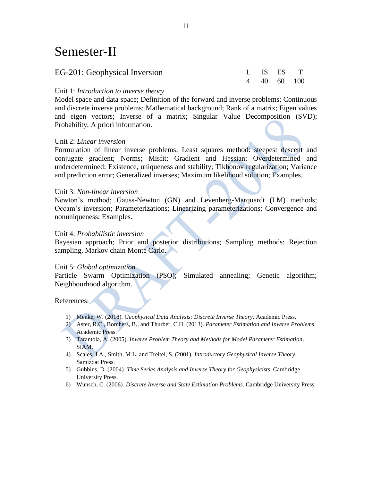# Semester-II

| EG-201: Geophysical Inversion | L IS ES T   |  |
|-------------------------------|-------------|--|
|                               | 4 40 60 100 |  |

#### Unit 1: *Introduction to inverse theory*

Model space and data space; Definition of the forward and inverse problems; Continuous and discrete inverse problems; Mathematical background; Rank of a matrix; Eigen values and eigen vectors; Inverse of a matrix; Singular Value Decomposition (SVD); Probability; A priori information.

#### Unit 2: *Linear inversion*

Formulation of linear inverse problems; Least squares method: steepest descent and conjugate gradient; Norms; Misfit; Gradient and Hessian; Overdetermined and underdetermined; Existence, uniqueness and stability; Tikhonov regularization; Variance and prediction error; Generalized inverses; Maximum likelihood solution; Examples.

#### Unit 3: *Non-linear inversion*

Newton's method; Gauss-Newton (GN) and Levenberg-Marquardt (LM) methods; Occam's inversion; Parameterizations; Linearizing parameterizations; Convergence and nonuniqueness; Examples.

#### Unit 4: *Probabilistic inversion*

Bayesian approach; Prior and posterior distributions; Sampling methods: Rejection sampling, Markov chain Monte Carlo.

#### Unit 5: *Global optimization*

Particle Swarm Optimization (PSO); Simulated annealing; Genetic algorithm; Neighbourhood algorithm.

- 1) Menke, W. (2018). *Geophysical Data Analysis: Discrete Inverse Theory*. Academic Press.
- 2) Aster, R.C., Borchers, B., and Thurber, C.H. (2013). *Parameter Estimation and Inverse Problems*. Academic Press.
- 3) Tarantola, A. (2005). *Inverse Problem Theory and Methods for Model Parameter Estimation*. SIAM.
- 4) Scales, J.A., Smith, M.L. and Treitel, S. (2001). *Introductory Geophysical Inverse Theory*. Samizdat Press.
- 5) Gubbins, D. (2004). *Time Series Analysis and Inverse Theory for Geophysicists*. Cambridge University Press.
- 6) Wunsch, C. (2006). *Discrete Inverse and State Estimation Problems*. Cambridge University Press.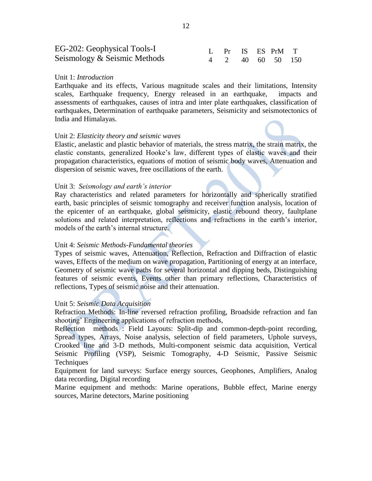| EG-202: Geophysical Tools-I  |  |  | L Pr IS ES PrM T |  |
|------------------------------|--|--|------------------|--|
| Seismology & Seismic Methods |  |  | 4 2 40 60 50 150 |  |

#### Unit 1: *Introduction*

Earthquake and its effects, Various magnitude scales and their limitations, Intensity scales, Earthquake frequency, Energy released in an earthquake, impacts and assessments of earthquakes, causes of intra and inter plate earthquakes, classification of earthquakes, Determination of earthquake parameters, Seismicity and seismotectonics of India and Himalayas.

#### Unit 2: *Elasticity theory and seismic waves*

Elastic, anelastic and plastic behavior of materials, the stress matrix, the strain matrix, the elastic constants, generalized Hooke's law, different types of elastic waves and their propagation characteristics, equations of motion of seismic body waves, Attenuation and dispersion of seismic waves, free oscillations of the earth.

#### Unit 3: *Seismology and earth's interior*

Ray characteristics and related parameters for horizontally and spherically stratified earth, basic principles of seismic tomography and receiver function analysis, location of the epicenter of an earthquake, global seismicity, elastic rebound theory, faultplane solutions and related interpretation, reflections and refractions in the earth's interior, models of the earth's internal structure.

#### Unit 4: *Seismic Methods-Fundamental theories*

Types of seismic waves, Attenuation, Reflection, Refraction and Diffraction of elastic waves, Effects of the medium on wave propagation, Partitioning of energy at an interface, Geometry of seismic wave paths for several horizontal and dipping beds, Distinguishing features of seismic events, Events other than primary reflections, Characteristics of reflections, Types of seismic noise and their attenuation.

#### Unit 5: *Seismic Data Acquisition*

Refraction Methods: In-line reversed refraction profiling, Broadside refraction and fan shooting' Engineering applications of refraction methods,

Reflection methods : Field Layouts: Split-dip and common-depth-point recording, Spread types, Arrays, Noise analysis, selection of field parameters, Uphole surveys, Crooked line and 3-D methods, Multi-component seismic data acquisition, Vertical Seismic Profiling (VSP), Seismic Tomography, 4-D Seismic, Passive Seismic Techniques

Equipment for land surveys: Surface energy sources, Geophones, Amplifiers, Analog data recording, Digital recording

Marine equipment and methods: Marine operations, Bubble effect, Marine energy sources, Marine detectors, Marine positioning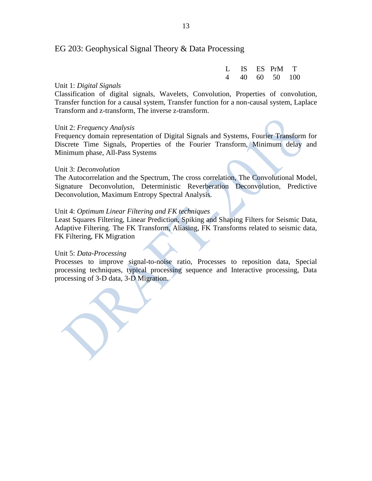#### EG 203: Geophysical Signal Theory & Data Processing

|  |  | L IS ES PrM T  |  |
|--|--|----------------|--|
|  |  | 4 40 60 50 100 |  |

#### Unit 1: *Digital Signals*

Classification of digital signals, Wavelets, Convolution, Properties of convolution, Transfer function for a causal system, Transfer function for a non-causal system, Laplace Transform and z-transform, The inverse z-transform.

#### Unit 2: *Frequency Analysis*

Frequency domain representation of Digital Signals and Systems, Fourier Transform for Discrete Time Signals, Properties of the Fourier Transform, Minimum delay and Minimum phase, All-Pass Systems

#### Unit 3: *Deconvolution*

The Autocorrelation and the Spectrum, The cross correlation, The Convolutional Model, Signature Deconvolution, Deterministic Reverberation Deconvolution, Predictive Deconvolution, Maximum Entropy Spectral Analysis.

#### Unit 4: *Optimum Linear Filtering and FK techniques*

Least Squares Filtering, Linear Prediction, Spiking and Shaping Filters for Seismic Data, Adaptive Filtering. The FK Transform, Aliasing, FK Transforms related to seismic data, FK Filtering, FK Migration

#### Unit 5: *Data-Processing*

Processes to improve signal-to-noise ratio, Processes to reposition data, Special processing techniques, typical processing sequence and Interactive processing, Data processing of 3-D data, 3-D Migration.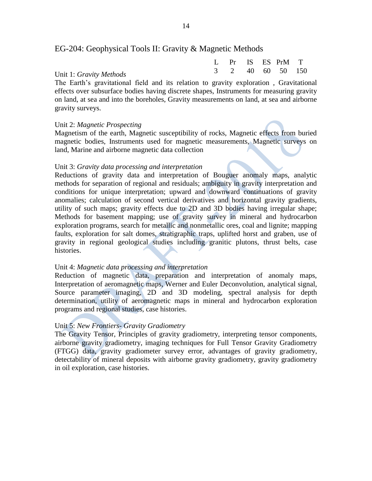#### EG-204: Geophysical Tools II: Gravity & Magnetic Methods

|                         |  |  | L Pr IS ES PrM T |  |
|-------------------------|--|--|------------------|--|
| Unit 1: Gravity Methods |  |  | 3 2 40 60 50 150 |  |

The Earth's gravitational field and its relation to gravity exploration , Gravitational effects over subsurface bodies having discrete shapes, Instruments for measuring gravity on land, at sea and into the boreholes, Gravity measurements on land, at sea and airborne gravity surveys.

#### Unit 2: *Magnetic Prospecting*

Magnetism of the earth, Magnetic susceptibility of rocks, Magnetic effects from buried magnetic bodies, Instruments used for magnetic measurements, Magnetic surveys on land, Marine and airborne magnetic data collection

#### Unit 3: *Gravity data processing and interpretation*

Reductions of gravity data and interpretation of Bouguer anomaly maps, analytic methods for separation of regional and residuals; ambiguity in gravity interpretation and conditions for unique interpretation; upward and downward continuations of gravity anomalies; calculation of second vertical derivatives and horizontal gravity gradients, utility of such maps; gravity effects due to 2D and 3D bodies having irregular shape; Methods for basement mapping; use of gravity survey in mineral and hydrocarbon exploration programs, search for metallic and nonmetallic ores, coal and lignite; mapping faults, exploration for salt domes, stratigraphic traps, uplifted horst and graben, use of gravity in regional geological studies including granitic plutons, thrust belts, case histories.

#### Unit 4: *Magnetic data processing and interpretation*

Reduction of magnetic data, preparation and interpretation of anomaly maps, Interpretation of aeromagnetic maps, Werner and Euler Deconvolution, analytical signal, Source parameter imaging, 2D and 3D modeling, spectral analysis for depth determination, utility of aeromagnetic maps in mineral and hydrocarbon exploration programs and regional studies, case histories.

#### Unit 5: *New Frontiers- Gravity Gradiometry*

The Gravity Tensor, Principles of gravity gradiometry, interpreting tensor components, airborne gravity gradiometry, imaging techniques for Full Tensor Gravity Gradiometry (FTGG) data, gravity gradiometer survey error, advantages of gravity gradiometry, detectability of mineral deposits with airborne gravity gradiometry, gravity gradiometry in oil exploration, case histories.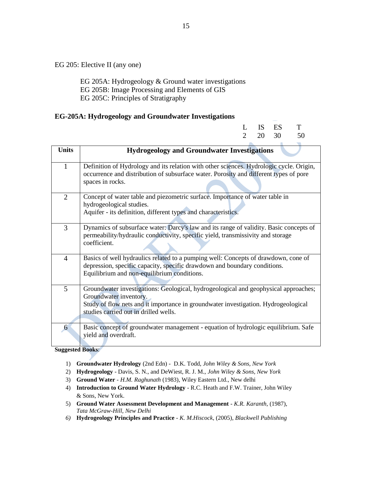EG 205: Elective II (any one)

 EG 205A: Hydrogeology & Ground water investigations EG 205B: Image Processing and Elements of GIS EG 205C: Principles of Stratigraphy

#### **EG-205A: Hydrogeology and Groundwater Investigations**

|                | 30<br>$\mathfrak{D}$<br>20<br>50                                                                                                                                                                                                             |
|----------------|----------------------------------------------------------------------------------------------------------------------------------------------------------------------------------------------------------------------------------------------|
| <b>Units</b>   | <b>Hydrogeology and Groundwater Investigations</b>                                                                                                                                                                                           |
| $\mathbf{1}$   | Definition of Hydrology and its relation with other sciences. Hydrologic cycle. Origin,<br>occurrence and distribution of subsurface water. Porosity and different types of pore<br>spaces in rocks.                                         |
| $\overline{2}$ | Concept of water table and piezometric surface. Importance of water table in<br>hydrogeological studies.<br>Aquifer - its definition, different types and characteristics.                                                                   |
| 3              | Dynamics of subsurface water: Darcy's law and its range of validity. Basic concepts of<br>permeability/hydraulic conductivity, specific yield, transmissivity and storage<br>coefficient.                                                    |
| 4              | Basics of well hydraulics related to a pumping well: Concepts of drawdown, cone of<br>depression, specific capacity, specific drawdown and boundary conditions.<br>Equilibrium and non-equilibrium conditions.                               |
| 5              | Groundwater investigations: Geological, hydrogeological and geophysical approaches;<br>Groundwater inventory.<br>Study of flow nets and it importance in groundwater investigation. Hydrogeological<br>studies carried out in drilled wells. |
| 6              | Basic concept of groundwater management - equation of hydrologic equilibrium. Safe<br>yield and overdraft.                                                                                                                                   |

**Suggested Books**:

- 1) **Groundwater Hydrology** (2nd Edn) D.K. Todd, *John Wiley & Sons, New York*
- 2) **Hydrogeology** Davis, S. N., and DeWiest, R. J. M., *John Wiley & Sons, New York*
- 3) **Ground Water** *- H.M. Raghunath* (1983), Wiley Eastern Ltd., New delhi
- 4) **Introduction to Ground Water Hydrology** R.C. Heath and F.W. Trainer, John Wiley & Sons, New York.
- 5) **Ground Water Assessment Development and Management** *- K.R. Karanth,* (1987), *Tata McGraw-Hill, New Delhi*
- *6)* **Hydrogeology Principles and Practice** *K. M.Hiscock*, (2005), *Blackwell Publishing*

L IS ES T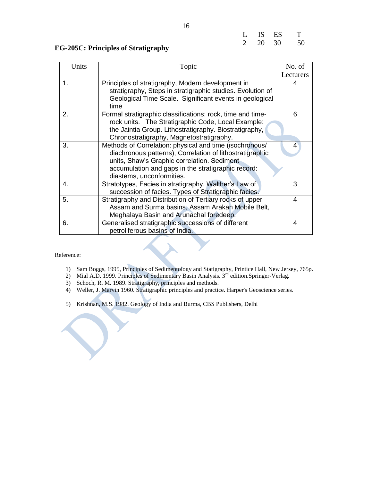| L              | IS | ES | Т  |
|----------------|----|----|----|
| $\overline{2}$ | 20 | 30 | 50 |

#### **EG-205C: Principles of Stratigraphy**

| Units | Topic                                                      | No. of         |
|-------|------------------------------------------------------------|----------------|
|       |                                                            | Lecturers      |
| 1.    | Principles of stratigraphy, Modern development in          | 4              |
|       | stratigraphy, Steps in stratigraphic studies. Evolution of |                |
|       | Geological Time Scale. Significant events in geological    |                |
|       | time                                                       |                |
| 2.    | Formal stratigraphic classifications: rock, time and time- | 6              |
|       | rock units. The Stratigraphic Code, Local Example:         |                |
|       | the Jaintia Group. Lithostratigraphy. Biostratigraphy,     |                |
|       | Chronostratigraphy, Magnetostratigraphy.                   |                |
| 3.    | Methods of Correlation: physical and time (isochronous/    | $\overline{4}$ |
|       | diachronous patterns), Correlation of lithostratigraphic   |                |
|       | units, Shaw's Graphic correlation. Sediment                |                |
|       | accumulation and gaps in the stratigraphic record:         |                |
|       | diastems, unconformities.                                  |                |
| 4.    | Stratotypes, Facies in stratigraphy. Walther's Law of      | 3              |
|       | succession of facies. Types of Stratigraphic facies.       |                |
| 5.    | Stratigraphy and Distribution of Tertiary rocks of upper   | 4              |
|       | Assam and Surma basins, Assam Arakan Mobile Belt,          |                |
|       | Meghalaya Basin and Arunachal foredeep.                    |                |
| 6.    | Generalised stratigraphic successions of different         | 4              |
|       | petroliferous basins of India.                             |                |

- 1) Sam Boggs, 1995, Principles of Sedimentology and Statigraphy, Printice Hall, New Jersey, 765p.
- 2) Mial A.D. 1999. Principles of Sedimentary Basin Analysis.  $3<sup>rd</sup>$  edition.Springer-Verlag.
- 3) Schoch, R. M. 1989. Stratigraphy, principles and methods.
- 4) Weller, J. Marvin 1960. Stratigraphic principles and practice. Harper's Geoscience series.
- 5) Krishnan, M.S. 1982. Geology of India and Burma, CBS Publishers, Delhi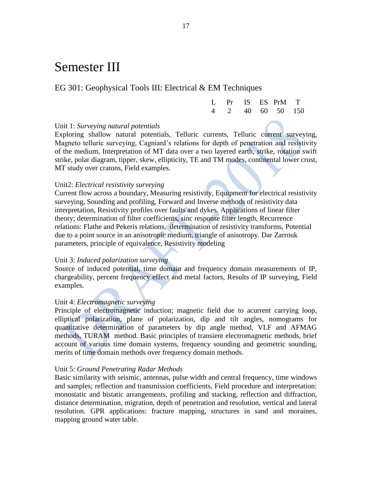# Semester III

#### EG 301: Geophysical Tools III: Electrical & EM Techniques

|  |  | L Pr IS ES PrM T |  |
|--|--|------------------|--|
|  |  | 4 2 40 60 50 150 |  |

#### Unit 1: *Surveying natural potentials*

Exploring shallow natural potentials, Telluric currents, Telluric current surveying, Magneto telluric surveying, Cagniard's relations for depth of penetration and resistivity of the medium, Interpretation of MT data over a two layered earth, strike, rotation swift strike, polar diagram, tipper, skew, ellipticity, TE and TM modes, continental lower crust, MT study over cratons, Field examples.

#### Unit2: *Electrical resistivity surveying*

Current flow across a boundary, Measuring resistivity, Equipment for electrical resistivity surveying, Sounding and profiling, Forward and Inverse methods of resistivity data interpretation, Resistivity profiles over faults and dykes. Applications of linear filter theory; determination of filter coefficients, sinc response filter length, Recurrence relations: Flathe and Pekeris relations, determination of resistivity transforms, Potential due to a point source in an anisotropic medium, triangle of anisotropy. Dar Zarrouk parameters, principle of equivalence, Resistivity modeling

#### Unit 3: *Induced polarization surveying*

Source of induced potential, time domain and frequency domain measurements of IP, chargeability, percent frequency effect and metal factors, Results of IP surveying, Field examples.

#### Unit 4: *Electromagnetic surveying*

Principle of electromagnetic induction; magnetic field due to acurrent carrying loop, elliptical polarization, plane of polarization, dip and tilt angles, nomograms for quantitative determination of parameters by dip angle method, VLF and AFMAG methods, TURAM method. Basic principles of transient electromagnetic methods, brief account of various time domain systems, frequency sounding and geometric sounding, merits of time domain methods over frequency domain methods.

#### Unit 5: *Ground Penetrating Radar Methods*

Basic similarity with seismic, antennas, pulse width and central frequency, time windows and samples; reflection and transmission coefficients, Field procedure and interpretation: monostatic and bistatic arrangements, profiling and stacking, reflection and diffraction, distance determination, migration, depth of penetration and resolution, vertical and lateral resolution. GPR applications: fracture mapping, structures in sand and moraines, mapping ground water table.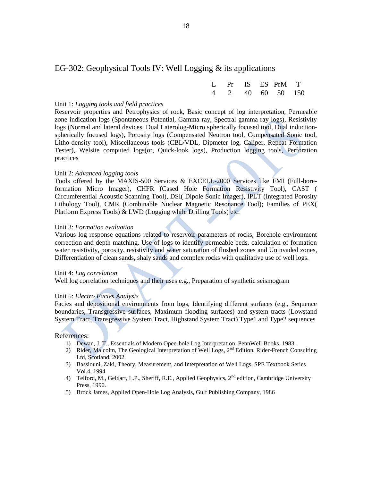#### EG-302: Geophysical Tools IV: Well Logging & its applications

|  |  | L Pr IS ES PrM T |  |
|--|--|------------------|--|
|  |  | 4 2 40 60 50 150 |  |

#### Unit 1: *Logging tools and field practices*

Reservoir properties and Petrophysics of rock, Basic concept of log interpretation, Permeable zone indication logs (Spontaneous Potential, Gamma ray, Spectral gamma ray logs), Resistivity logs (Normal and lateral devices, Dual Laterolog-Micro spherically focused tool, Dual inductionspherically focused logs), Porosity logs (Compensated Neutron tool, Compensated Sonic tool, Litho-density tool), Miscellaneous tools (CBL/VDL, Dipmeter log, Caliper, Repeat Formation Tester), Welsite computed logs(or, Quick-look logs), Production logging tools, Perforation practices

#### Unit 2: *Advanced logging tools*

Tools offered by the MAXIS-500 Services & EXCELL-2000 Services like FMI (Full-boreformation Micro Imager), CHFR (Cased Hole Formation Resistivity Tool), CAST ( Circumferential Acoustic Scanning Tool), DSI( Dipole Sonic Imager), IPLT (Integrated Porosity Lithology Tool), CMR (Combinable Nuclear Magnetic Resonance Tool); Families of PEX( Platform Express Tools) & LWD (Logging while Drilling Tools) etc.

#### Unit 3: *Formation evaluation*

Various log response equations related to reservoir parameters of rocks, Borehole environment correction and depth matching, Use of logs to identify permeable beds, calculation of formation water resistivity, porosity, resistivity and water saturation of flushed zones and Uninvaded zones, Differentiation of clean sands, shaly sands and complex rocks with qualitative use of well logs.

#### Unit 4: *Log correlation*

Well log correlation techniques and their uses e.g., Preparation of synthetic seismogram

#### Unit 5: *Electro Facies Analysis*

Facies and depositional environments from logs, Identifying different surfaces (e.g., Sequence boundaries, Transgressive surfaces, Maximum flooding surfaces) and system tracts (Lowstand System Tract, Transgressive System Tract, Highstand System Tract) Type1 and Type2 sequences

- 1) Dewan, J. T., Essentials of Modern Open-hole Log Interpretation, PennWell Books, 1983.
- 2) Rider, Malcolm, The Geological Interpretation of Well Logs, 2<sup>nd</sup> Edition, Rider-French Consulting Ltd, Scotland, 2002.
- 3) Bassiouni, Zaki, Theory, Measurement, and Interpretation of Well Logs, SPE Textbook Series Vol.4, 1994
- 4) Telford, M., Geldart, L.P., Sheriff, R.E., Applied Geophysics, 2<sup>nd</sup> edition, Cambridge University Press, 1990.
- 5) Brock James, Applied Open-Hole Log Analysis, Gulf Publishing Company, 1986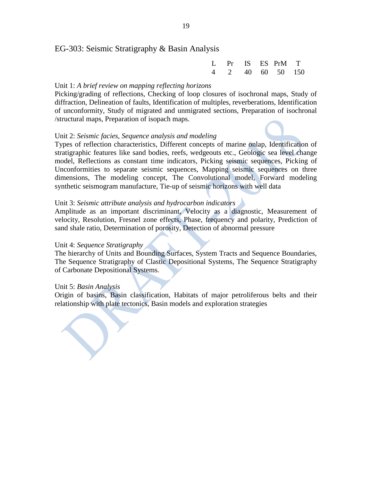#### EG-303: Seismic Stratigraphy & Basin Analysis

|  |  | L Pr IS ES PrM T |  |
|--|--|------------------|--|
|  |  | 4 2 40 60 50 150 |  |

#### Unit 1: *A brief review on mapping reflecting horizons*

Picking/grading of reflections, Checking of loop closures of isochronal maps, Study of diffraction, Delineation of faults, Identification of multiples, reverberations, Identification of unconformity, Study of migrated and unmigrated sections, Preparation of isochronal /structural maps, Preparation of isopach maps.

#### Unit 2: *Seismic facies, Sequence analysis and modeling*

Types of reflection characteristics, Different concepts of marine onlap, Identification of stratigraphic features like sand bodies, reefs, wedgeouts etc., Geologic sea level change model, Reflections as constant time indicators, Picking seismic sequences, Picking of Unconformities to separate seismic sequences, Mapping seismic sequences on three dimensions, The modeling concept, The Convolutional model, Forward modeling synthetic seismogram manufacture, Tie-up of seismic horizons with well data

#### Unit 3: *Seismic attribute analysis and hydrocarbon indicators*

Amplitude as an important discriminant, Velocity as a diagnostic, Measurement of velocity, Resolution, Fresnel zone effects, Phase, frequency and polarity, Prediction of sand shale ratio, Determination of porosity, Detection of abnormal pressure

#### Unit 4: *Sequence Stratigraphy*

The hierarchy of Units and Bounding Surfaces, System Tracts and Sequence Boundaries, The Sequence Stratigraphy of Clastic Depositional Systems, The Sequence Stratigraphy of Carbonate Depositional Systems.

#### Unit 5: *Basin Analysis*

Origin of basins, Basin classification, Habitats of major petroliferous belts and their relationship with plate tectonics, Basin models and exploration strategies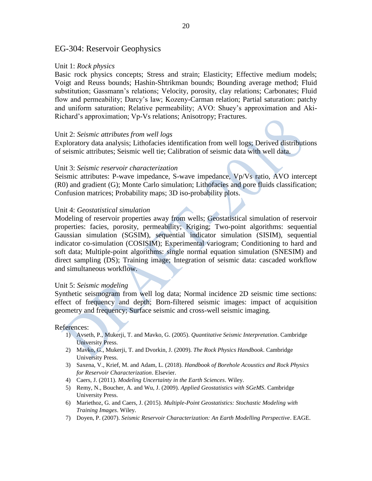#### EG-304: Reservoir Geophysics

#### Unit 1: *Rock physics*

Basic rock physics concepts; Stress and strain; Elasticity; Effective medium models; Voigt and Reuss bounds; Hashin-Shtrikman bounds; Bounding average method; Fluid substitution; Gassmann's relations; Velocity, porosity, clay relations; Carbonates; Fluid flow and permeability; Darcy's law; Kozeny-Carman relation; Partial saturation: patchy and uniform saturation; Relative permeability; AVO: Shuey's approximation and Aki-Richard's approximation; Vp-Vs relations; Anisotropy; Fractures.

#### Unit 2: *Seismic attributes from well logs*

Exploratory data analysis; Lithofacies identification from well logs; Derived distributions of seismic attributes; Seismic well tie; Calibration of seismic data with well data.

#### Unit 3: *Seismic reservoir characterization*

Seismic attributes: P-wave impedance, S-wave impedance, Vp/Vs ratio, AVO intercept (R0) and gradient (G); Monte Carlo simulation; Lithofacies and pore fluids classification; Confusion matrices; Probability maps; 3D iso-probability plots.

#### Unit 4: *Geostatistical simulation*

Modeling of reservoir properties away from wells; Geostatistical simulation of reservoir properties: facies, porosity, permeability; Kriging; Two-point algorithms: sequential Gaussian simulation (SGSIM), sequential indicator simulation (SISIM), sequential indicator co-simulation (COSISIM); Experimental variogram; Conditioning to hard and soft data; Multiple-point algorithms: single normal equation simulation (SNESIM) and direct sampling (DS); Training image; Integration of seismic data: cascaded workflow and simultaneous workflow.

#### Unit 5: *Seismic modeling*

Synthetic seismogram from well log data; Normal incidence 2D seismic time sections: effect of frequency and depth; Born-filtered seismic images: impact of acquisition geometry and frequency; Surface seismic and cross-well seismic imaging.

- 1) Avseth, P., Mukerji, T. and Mavko, G. (2005). *Quantitative Seismic Interpretation*. Cambridge University Press.
- 2) Mavko, G., Mukerji, T. and Dvorkin, J. (2009). *The Rock Physics Handbook*. Cambridge University Press.
- 3) Saxena, V., Krief, M. and Adam, L. (2018). *Handbook of Borehole Acoustics and Rock Physics for Reservoir Characterization*. Elsevier.
- 4) Caers, J. (2011). *Modeling Uncertainty in the Earth Sciences*. Wiley.
- 5) Remy, N., Boucher, A. and Wu, J. (2009). *Applied Geostatistics with SGeMS*. Cambridge University Press.
- 6) Mariethoz, G. and Caers, J. (2015). *Multiple-Point Geostatistics: Stochastic Modeling with Training Images*. Wiley.
- 7) Doyen, P. (2007). *Seismic Reservoir Characterization: An Earth Modelling Perspective*. EAGE.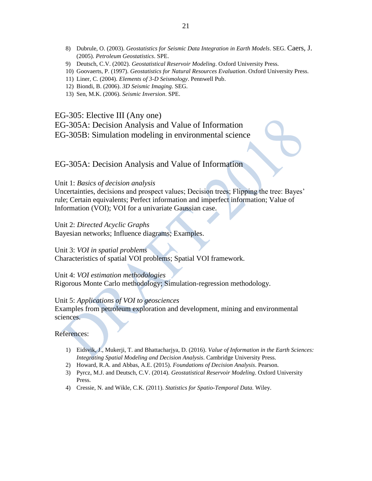- 8) Dubrule, O. (2003). *Geostatistics for Seismic Data Integration in Earth Models*. SEG. Caers, J. (2005). *Petroleum Geostatistics*. SPE.
- 9) Deutsch, C.V. (2002). *Geostatistical Reservoir Modeling*. Oxford University Press.
- 10) Goovaerts, P. (1997). *Geostatistics for Natural Resources Evaluation*. Oxford University Press.
- 11) Liner, C. (2004). *Elements of 3-D Seismology*. Pennwell Pub.
- 12) Biondi, B. (2006). *3D Seismic Imaging*. SEG.
- 13) Sen, M.K. (2006). *Seismic Inversion*. SPE.

EG-305: Elective III (Any one)

EG-305A: Decision Analysis and Value of Information

EG-305B: Simulation modeling in environmental science

#### EG-305A: Decision Analysis and Value of Information

Unit 1: *Basics of decision analysis*

Uncertainties, decisions and prospect values; Decision trees; Flipping the tree: Bayes' rule; Certain equivalents; Perfect information and imperfect information; Value of Information (VOI); VOI for a univariate Gaussian case.

Unit 2: *Directed Acyclic Graphs* Bayesian networks; Influence diagrams; Examples.

Unit 3: *VOI in spatial problems* Characteristics of spatial VOI problems; Spatial VOI framework.

Unit 4: *VOI estimation methodologies* Rigorous Monte Carlo methodology; Simulation-regression methodology.

#### Unit 5: *Applications of VOI to geosciences*

Examples from petroleum exploration and development, mining and environmental sciences.

- 1) Eidsvik, J., Mukerji, T. and Bhattacharjya, D. (2016). *Value of Information in the Earth Sciences: Integrating Spatial Modeling and Decision Analysis*. Cambridge University Press.
- 2) Howard, R.A. and Abbas, A.E. (2015). *Foundations of Decision Analysis*. Pearson.
- 3) Pyrcz, M.J. and Deutsch, C.V. (2014). *Geostatistical Reservoir Modeling*. Oxford University Press.
- 4) Cressie, N. and Wikle, C.K. (2011). *Statistics for Spatio-Temporal Data.* Wiley.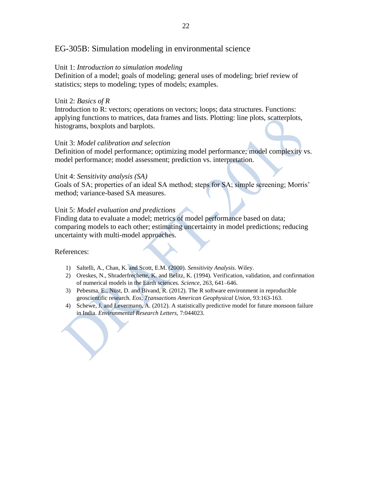#### EG-305B: Simulation modeling in environmental science

#### Unit 1: *Introduction to simulation modeling*

Definition of a model; goals of modeling; general uses of modeling; brief review of statistics; steps to modeling; types of models; examples.

#### Unit 2: *Basics of R*

Introduction to R: vectors; operations on vectors; loops; data structures. Functions: applying functions to matrices, data frames and lists. Plotting: line plots, scatterplots, histograms, boxplots and barplots.

#### Unit 3: *Model calibration and selection*

Definition of model performance; optimizing model performance; model complexity vs. model performance; model assessment; prediction vs. interpretation.

#### Unit 4: *Sensitivity analysis (SA)*

Goals of SA; properties of an ideal SA method; steps for SA; simple screening; Morris' method; variance-based SA measures.

#### Unit 5: *Model evaluation and predictions*

Finding data to evaluate a model; metrics of model performance based on data; comparing models to each other; estimating uncertainty in model predictions; reducing uncertainty with multi-model approaches.

- 1) Saltelli, A., Chan, K. and Scott, E.M. (2000). *Sensitivity Analysis*. Wiley.
- 2) Oreskes, N., Shraderfrechette, K. and Belitz, K. (1994). Verification, validation, and confirmation of numerical models in the Earth sciences. *Science*, 263, 641–646.
- 3) Pebesma, E., Nüst, D. and Bivand, R. (2012). The R software environment in reproducible geoscientific research. *Eos, Transactions American Geophysical Union,* 93:163-163.
- 4) Schewe, J. and Levermann, A. (2012). A statistically predictive model for future monsoon failure in India. *Environmental Research Letters,* 7:044023.